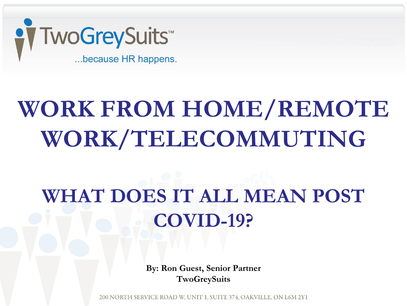

# **WORK FROM HOME/REMOTE WORK/TELECOMMUTING**

# **WHAT DOES IT ALL MEAN POST COVID-19?**

**By: Ron Guest, Senior Partner TwoGreySuits** 

200 NORTH SERVICE ROAD W, UNIT 1, SUITE 374, OAKVILLE, ON L6M 2Y1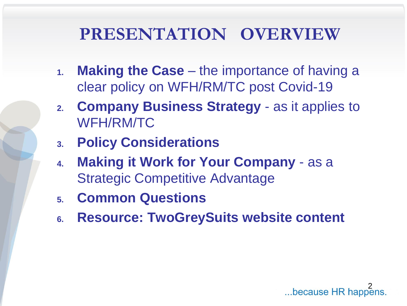### **PRESENTATION OVERVIEW**

- **1. Making the Case**  the importance of having a clear policy on WFH/RM/TC post Covid-19
- **2. Company Business Strategy**  as it applies to WFH/RM/TC
- **3. Policy Considerations**
- **4. Making it Work for Your Company**  as a Strategic Competitive Advantage
- **5. Common Questions**
- **6. Resource: TwoGreySuits website content**

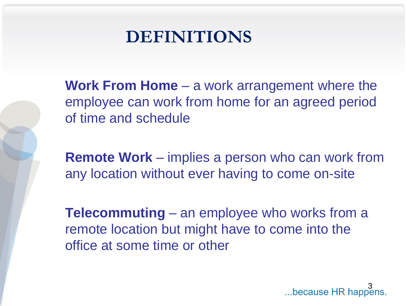

**Work From Home** – a work arrangement where the employee can work from home for an agreed period of time and schedule

**Remote Work** – implies a person who can work from any location without ever having to come on-site

**Telecommuting** – an employee who works from a remote location but might have to come into the office at some time or other

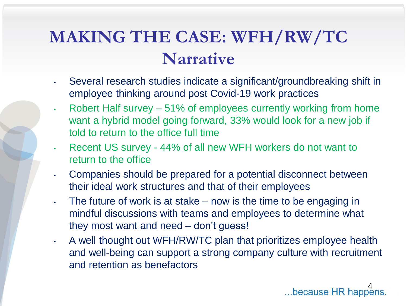## **MAKING THE CASE: WFH/RW/TC Narrative**

- Several research studies indicate a significant/groundbreaking shift in employee thinking around post Covid-19 work practices
- Robert Half survey 51% of employees currently working from home want a hybrid model going forward, 33% would look for a new job if told to return to the office full time
- Recent US survey 44% of all new WFH workers do not want to return to the office
- Companies should be prepared for a potential disconnect between their ideal work structures and that of their employees
- $\cdot$  The future of work is at stake now is the time to be engaging in mindful discussions with teams and employees to determine what they most want and need – don't guess!
- A well thought out WFH/RW/TC plan that prioritizes employee health and well-being can support a strong company culture with recruitment and retention as benefactors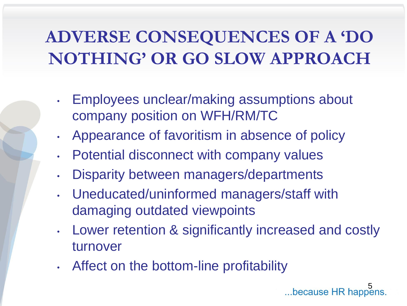# **ADVERSE CONSEQUENCES OF A 'DO NOTHING' OR GO SLOW APPROACH**

- Employees unclear/making assumptions about company position on WFH/RM/TC
- Appearance of favoritism in absence of policy
- Potential disconnect with company values
- Disparity between managers/departments
- Uneducated/uninformed managers/staff with damaging outdated viewpoints
- Lower retention & significantly increased and costly turnover
- Affect on the bottom-line profitability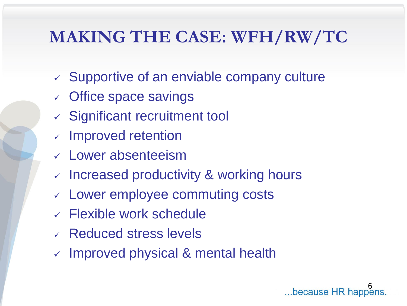### **MAKING THE CASE: WFH/RW/TC**

- ✓ Supportive of an enviable company culture
- $\checkmark$  Office space savings
- ✓ Significant recruitment tool
- ✓ Improved retention
- ✓ Lower absenteeism
- ✓ Increased productivity & working hours
- ✓ Lower employee commuting costs
- $\vee$  Flexible work schedule
- ✓ Reduced stress levels
- $\vee$  Improved physical & mental health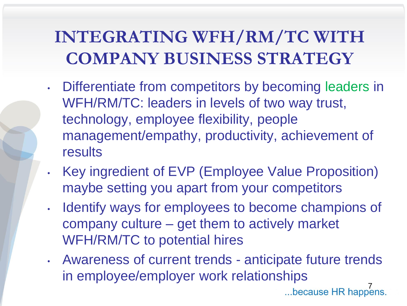# **INTEGRATING WFH/RM/TC WITH COMPANY BUSINESS STRATEGY**

- Differentiate from competitors by becoming leaders in WFH/RM/TC: leaders in levels of two way trust, technology, employee flexibility, people management/empathy, productivity, achievement of results
- Key ingredient of EVP (Employee Value Proposition) maybe setting you apart from your competitors
- Identify ways for employees to become champions of company culture – get them to actively market WFH/RM/TC to potential hires
- Awareness of current trends anticipate future trends in employee/employer work relationships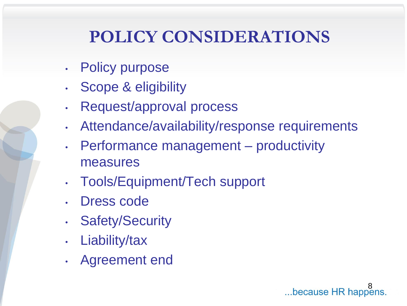# **POLICY CONSIDERATIONS**

- **Policy purpose**
- Scope & eligibility
- Request/approval process
- Attendance/availability/response requirements
- Performance management productivity measures
- Tools/Equipment/Tech support
- Dress code
- **Safety/Security**
- Liability/tax
- Agreement end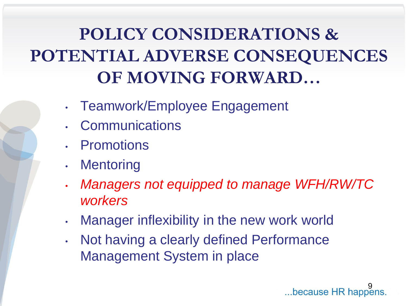# **POLICY CONSIDERATIONS & POTENTIAL ADVERSE CONSEQUENCES OF MOVING FORWARD…**

- Teamwork/Employee Engagement
- **Communications**
- **Promotions**
- Mentoring
- *Managers not equipped to manage WFH/RW/TC workers*
- Manager inflexibility in the new work world
- Not having a clearly defined Performance Management System in place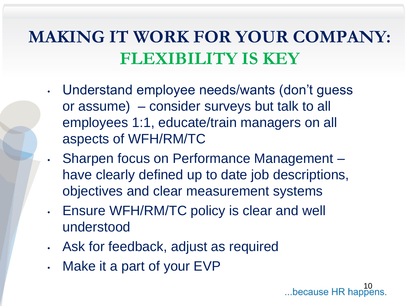### **MAKING IT WORK FOR YOUR COMPANY: FLEXIBILITY IS KEY**

- Understand employee needs/wants (don't guess or assume) – consider surveys but talk to all employees 1:1, educate/train managers on all aspects of WFH/RM/TC
	- Sharpen focus on Performance Management have clearly defined up to date job descriptions, objectives and clear measurement systems
- Ensure WFH/RM/TC policy is clear and well understood
- Ask for feedback, adjust as required
- Make it a part of your EVP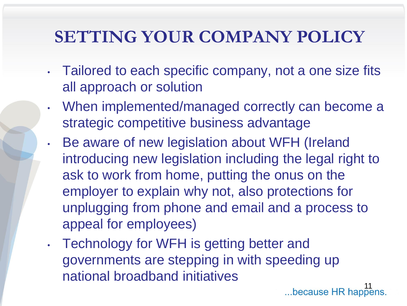### **SETTING YOUR COMPANY POLICY**

- Tailored to each specific company, not a one size fits all approach or solution
- When implemented/managed correctly can become a strategic competitive business advantage
- Be aware of new legislation about WFH (Ireland introducing new legislation including the legal right to ask to work from home, putting the onus on the employer to explain why not, also protections for unplugging from phone and email and a process to appeal for employees)
- Technology for WFH is getting better and governments are stepping in with speeding up national broadband initiatives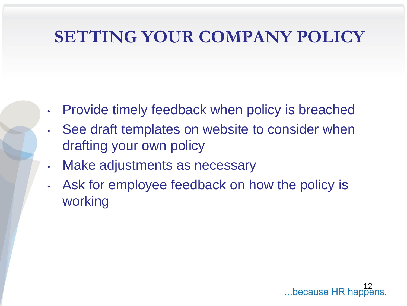### **SETTING YOUR COMPANY POLICY**

- Provide timely feedback when policy is breached
- See draft templates on website to consider when drafting your own policy
- Make adjustments as necessary
- Ask for employee feedback on how the policy is working

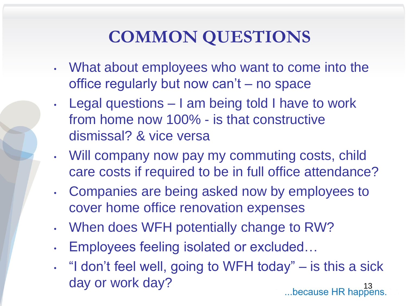### **COMMON QUESTIONS**

- What about employees who want to come into the office regularly but now can't – no space
- Legal questions I am being told I have to work from home now 100% - is that constructive dismissal? & vice versa
- Will company now pay my commuting costs, child care costs if required to be in full office attendance?
- Companies are being asked now by employees to cover home office renovation expenses
- When does WFH potentially change to RW?
- Employees feeling isolated or excluded…
- "I don't feel well, going to WFH today" is this a sick day or work day?<br>
...because HR happens.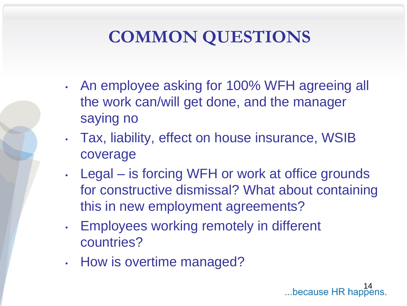# **COMMON QUESTIONS**

- An employee asking for 100% WFH agreeing all the work can/will get done, and the manager saying no
- Tax, liability, effect on house insurance, WSIB coverage
- Legal is forcing WFH or work at office grounds for constructive dismissal? What about containing this in new employment agreements?
- Employees working remotely in different countries?
- How is overtime managed?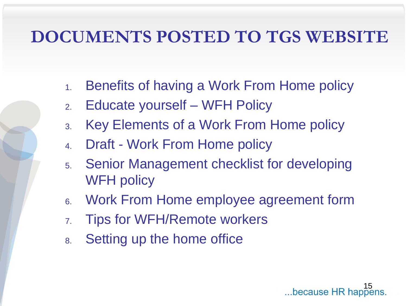### **DOCUMENTS POSTED TO TGS WEBSITE**

- 1. Benefits of having a Work From Home policy
- 2. Educate yourself WFH Policy
- 3. Key Elements of a Work From Home policy
- 4. Draft Work From Home policy
- 5. Senior Management checklist for developing WFH policy
- 6. Work From Home employee agreement form
- 7. Tips for WFH/Remote workers
- 8. Setting up the home office

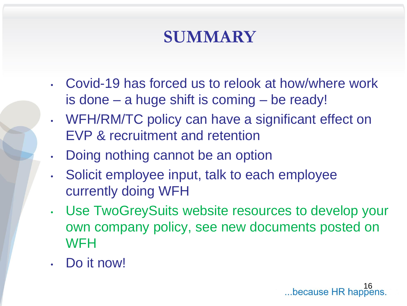### **SUMMARY**

- Covid-19 has forced us to relook at how/where work is done – a huge shift is coming – be ready!
- WFH/RM/TC policy can have a significant effect on EVP & recruitment and retention
- Doing nothing cannot be an option
- Solicit employee input, talk to each employee currently doing WFH
- Use TwoGreySuits website resources to develop your own company policy, see new documents posted on **WFH**
- Do it now!